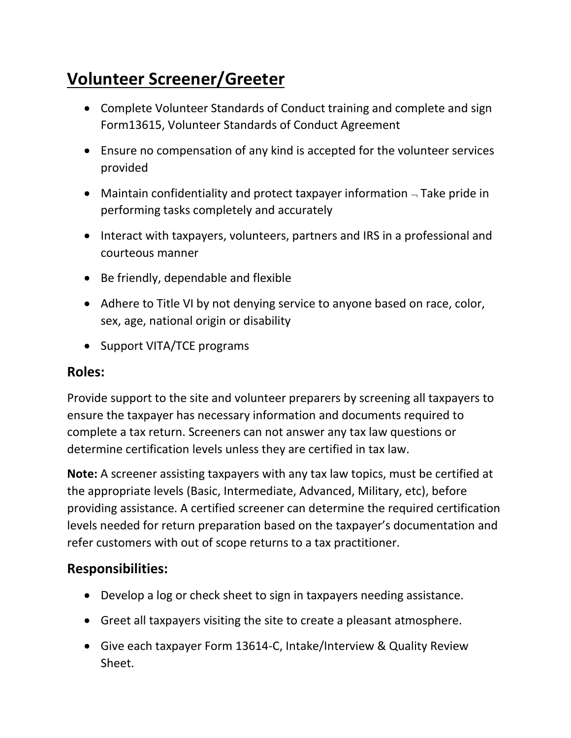## **Volunteer Screener/Greeter**

- Complete Volunteer Standards of Conduct training and complete and sign Form13615, Volunteer Standards of Conduct Agreement
- Ensure no compensation of any kind is accepted for the volunteer services provided
- Maintain confidentiality and protect taxpayer information  $\overline{\phantom{a}}$  Take pride in performing tasks completely and accurately
- Interact with taxpayers, volunteers, partners and IRS in a professional and courteous manner
- Be friendly, dependable and flexible
- Adhere to Title VI by not denying service to anyone based on race, color, sex, age, national origin or disability
- Support VITA/TCE programs

## **Roles:**

Provide support to the site and volunteer preparers by screening all taxpayers to ensure the taxpayer has necessary information and documents required to complete a tax return. Screeners can not answer any tax law questions or determine certification levels unless they are certified in tax law.

**Note:** A screener assisting taxpayers with any tax law topics, must be certified at the appropriate levels (Basic, Intermediate, Advanced, Military, etc), before providing assistance. A certified screener can determine the required certification levels needed for return preparation based on the taxpayer's documentation and refer customers with out of scope returns to a tax practitioner.

## **Responsibilities:**

- Develop a log or check sheet to sign in taxpayers needing assistance.
- Greet all taxpayers visiting the site to create a pleasant atmosphere.
- Give each taxpayer Form 13614-C, Intake/Interview & Quality Review Sheet.